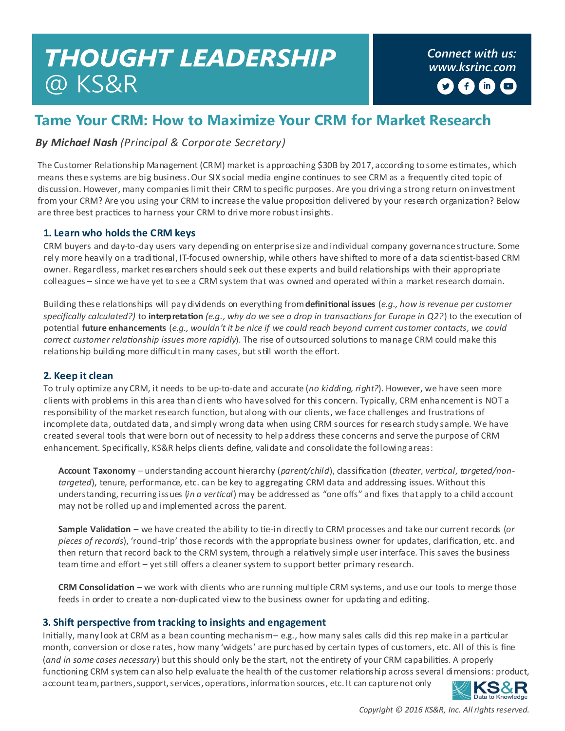# **THOUGHT LEADERSHIP** @ KS&R

*Connect with us: [www.ksrinc.com](http://www.ksrinc.com/)* f)  $(n)$  $\Box$ 

## **Tame Your CRM: How to Maximize Your CRM for Market Research**

*By Michael Nash (Principal & Corporate Secretary)* 

The Customer Relationship Management (CRM) market is approaching \$30B by 2017, according to some estimates, which means these systems are big business. Our SIX social media engine continues to see CRM as a frequently cited topic of discussion. However, many companies limit their CRM to specific purposes. Are you driving a strong return on investment from your CRM? Are you using your CRM to increase the value proposition delivered by your research organization? Below are three best practices to harness your CRM to drive more robust insights.

#### **1. Learn who holds the CRM keys**

CRM buyers and day-to-day users vary depending on enterprise size and individual company governance structure. Some rely more heavily on a traditional, IT-focused ownership, while others have shifted to more of a data scientist-based CRM owner. Regardless, market researchers should seek out these experts and build relationships with their appropriate colleagues – since we have yet to see a CRM system that was owned and operated within a market research domain.

Building these relationships will pay dividends on everything from **definitional issues** (*e.g., how is revenue per customer specifically calculated?)* to **interpretation** *(e.g., why do we see a drop in transactions for Europe in Q2?*) to the execution of potential **future enhancements** (*e.g., wouldn't it be nice if we could reach beyond current customer contacts, we could correct customer relationship issues more rapidly*). The rise of outsourced solutions to manage CRM could make this relationship building more difficult in many cases, but still worth the effort.

#### **2. Keep it clean**

To truly optimize any CRM, it needs to be up-to-date and accurate (*no kidding, right?*). However, we have seen more clients with problems in this area than clients who have solved for this concern. Typically, CRM enhancement is NOT a responsibility of the market research function, but along with our clients, we face challenges and frustrations of incomplete data, outdated data, and simply wrong data when using CRM sources for research study sample. We have created several tools that were born out of necessity to help address these concerns and serve the purpose of CRM enhancement. Specifically, KS&R helps clients define, validate and consolidate the following areas:

**Account Taxonomy** – understanding account hierarchy (*parent/child*), classification (*theater, vertical, targeted/nontargeted*), tenure, performance, etc. can be key to aggregating CRM data and addressing issues. Without this understanding, recurring issues (*in a vertical*) may be addressed as "one offs" and fixes that apply to a child account may not be rolled up and implemented across the parent.

**Sample Validation** – we have created the ability to tie-in directly to CRM processes and take our current records (*or pieces of records*), 'round-trip' those records with the appropriate business owner for updates, clarification, etc. and then return that record back to the CRM system, through a relatively simple user interface. This saves the business team time and effort – yet still offers a cleaner system to support better primary research.

**CRM Consolidation** – we work with clients who are running multiple CRM systems, and use our tools to merge those feeds in order to create a non-duplicated view to the business owner for updating and editing.

#### **3. Shift perspective from tracking to insights and engagement**

Initially, many look at CRM as a bean counting mechanism – e.g., how many sales calls did this rep make in a particular month, conversion or close rates, how many 'widgets' are purchased by certain types of customers, etc. All of this is fine (*and in some cases necessary*) but this should only be the start, not the entirety of your CRM capabilities. A properly functioning CRM system can also help evaluate the health of the customer relationship across several dimensions: product, account team, partners, support, services, operations, information sources, etc. It can capture not only



*Copyright © 2016 KS&R, Inc. All rights reserved.*